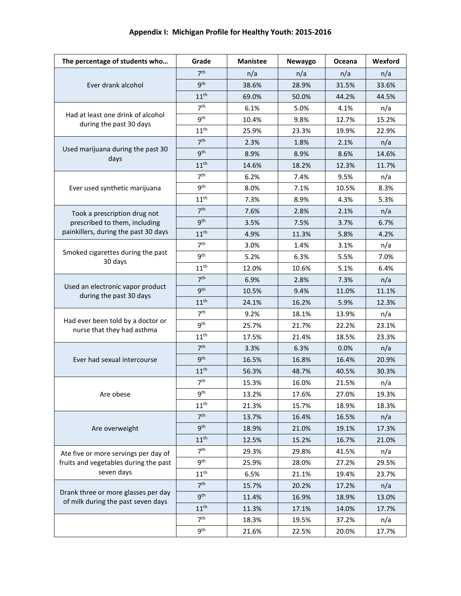| Appendix I: Michigan Profile for Healthy Youth: 2015-2016 |       |                 |                |        |         |  |  |  |
|-----------------------------------------------------------|-------|-----------------|----------------|--------|---------|--|--|--|
| The percentage of students who                            | Grade | <b>Manistee</b> | <b>Newavgo</b> | Oceana | Wexford |  |  |  |

| Ever drank alcohol                                                        | 7 <sup>th</sup>  | n/a   | n/a   | n/a   | n/a   |
|---------------------------------------------------------------------------|------------------|-------|-------|-------|-------|
|                                                                           | 9 <sup>th</sup>  | 38.6% | 28.9% | 31.5% | 33.6% |
|                                                                           | 11 <sup>th</sup> | 69.0% | 50.0% | 44.2% | 44.5% |
| Had at least one drink of alcohol<br>during the past 30 days              | 7 <sup>th</sup>  | 6.1%  | 5.0%  | 4.1%  | n/a   |
|                                                                           | gth              | 10.4% | 9.8%  | 12.7% | 15.2% |
|                                                                           | 11 <sup>th</sup> | 25.9% | 23.3% | 19.9% | 22.9% |
|                                                                           | 7 <sup>th</sup>  | 2.3%  | 1.8%  | 2.1%  | n/a   |
| Used marijuana during the past 30                                         | <b>gth</b>       | 8.9%  | 8.9%  | 8.6%  | 14.6% |
| days                                                                      | 11 <sup>th</sup> | 14.6% | 18.2% | 12.3% | 11.7% |
|                                                                           | 7 <sup>th</sup>  | 6.2%  | 7.4%  | 9.5%  | n/a   |
| Ever used synthetic marijuana                                             | 9 <sup>th</sup>  | 8.0%  | 7.1%  | 10.5% | 8.3%  |
|                                                                           | 11 <sup>th</sup> | 7.3%  | 8.9%  | 4.3%  | 5.3%  |
| Took a prescription drug not                                              | 7 <sup>th</sup>  | 7.6%  | 2.8%  | 2.1%  | n/a   |
| prescribed to them, including                                             | <b>gth</b>       | 3.5%  | 7.5%  | 3.7%  | 6.7%  |
| painkillers, during the past 30 days                                      | 11 <sup>th</sup> | 4.9%  | 11.3% | 5.8%  | 4.2%  |
|                                                                           | 7 <sup>th</sup>  | 3.0%  | 1.4%  | 3.1%  | n/a   |
| Smoked cigarettes during the past                                         | <b>gth</b>       | 5.2%  | 6.3%  | 5.5%  | 7.0%  |
| 30 days                                                                   | 11 <sup>th</sup> | 12.0% | 10.6% | 5.1%  | 6.4%  |
|                                                                           | 7 <sup>th</sup>  | 6.9%  | 2.8%  | 7.3%  | n/a   |
| Used an electronic vapor product<br>during the past 30 days               | 9 <sup>th</sup>  | 10.5% | 9.4%  | 11.0% | 11.1% |
|                                                                           | 11 <sup>th</sup> | 24.1% | 16.2% | 5.9%  | 12.3% |
|                                                                           | 7 <sup>th</sup>  | 9.2%  | 18.1% | 13.9% | n/a   |
| Had ever been told by a doctor or<br>nurse that they had asthma           | <b>gth</b>       | 25.7% | 21.7% | 22.2% | 23.1% |
|                                                                           | 11 <sup>th</sup> | 17.5% | 21.4% | 18.5% | 23.3% |
|                                                                           | 7 <sup>th</sup>  | 3.3%  | 6.3%  | 0.0%  | n/a   |
| Ever had sexual intercourse                                               | 9 <sup>th</sup>  | 16.5% | 16.8% | 16.4% | 20.9% |
|                                                                           | 11 <sup>th</sup> | 56.3% | 48.7% | 40.5% | 30.3% |
|                                                                           | 7 <sup>th</sup>  | 15.3% | 16.0% | 21.5% | n/a   |
| Are obese                                                                 | <b>gth</b>       | 13.2% | 17.6% | 27.0% | 19.3% |
|                                                                           | $11^{\text{th}}$ | 21.3% | 15.7% | 18.9% | 18.3% |
| Are overweight                                                            | 7 <sup>th</sup>  | 13.7% | 16.4% | 16.5% | n/a   |
|                                                                           | <b>gth</b>       | 18.9% | 21.0% | 19.1% | 17.3% |
|                                                                           | 11 <sup>th</sup> | 12.5% | 15.2% | 16.7% | 21.0% |
| Ate five or more servings per day of                                      | 7 <sup>th</sup>  | 29.3% | 29.8% | 41.5% | n/a   |
| fruits and vegetables during the past                                     | 9 <sup>th</sup>  | 25.9% | 28.0% | 27.2% | 29.5% |
| seven days                                                                | 11 <sup>th</sup> | 6.5%  | 21.1% | 19.4% | 23.7% |
|                                                                           | 7 <sup>th</sup>  | 15.7% | 20.2% | 17.2% | n/a   |
| Drank three or more glasses per day<br>of milk during the past seven days | <b>gth</b>       | 11.4% | 16.9% | 18.9% | 13.0% |
|                                                                           | 11 <sup>th</sup> | 11.3% | 17.1% | 14.0% | 17.7% |
|                                                                           | 7 <sup>th</sup>  | 18.3% | 19.5% | 37.2% | n/a   |
|                                                                           | <b>gth</b>       | 21.6% | 22.5% | 20.0% | 17.7% |